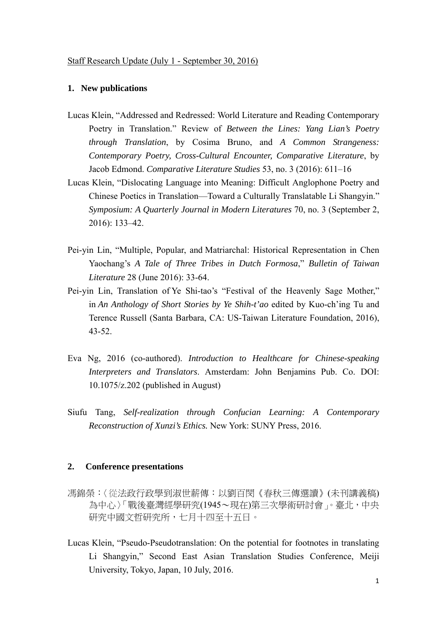## **1. New publications**

- Lucas Klein, "Addressed and Redressed: World Literature and Reading Contemporary Poetry in Translation." Review of *Between the Lines: Yang Lian's Poetry through Translation*, by Cosima Bruno, and *A Common Strangeness: Contemporary Poetry, Cross-Cultural Encounter, Comparative Literature*, by Jacob Edmond. *Comparative Literature Studies* 53, no. 3 (2016): 611–16
- Lucas Klein, "Dislocating Language into Meaning: Difficult Anglophone Poetry and Chinese Poetics in Translation—Toward a Culturally Translatable Li Shangyin." *Symposium: A Quarterly Journal in Modern Literatures* 70, no. 3 (September 2, 2016): 133–42.
- Pei-yin Lin, "Multiple, Popular, and Matriarchal: Historical Representation in Chen Yaochang's *A Tale of Three Tribes in Dutch Formosa*," *Bulletin of Taiwan Literature* 28 (June 2016): 33-64.
- Pei-yin Lin, Translation of Ye Shi-tao's "Festival of the Heavenly Sage Mother," in *An Anthology of Short Stories by Ye Shih-t'ao* edited by Kuo-ch'ing Tu and Terence Russell (Santa Barbara, CA: US-Taiwan Literature Foundation, 2016), 43-52.
- Eva Ng, 2016 (co-authored). *Introduction to Healthcare for Chinese-speaking Interpreters and Translators*. Amsterdam: John Benjamins Pub. Co. DOI: 10.1075/z.202 (published in August)
- Siufu Tang, *Self-realization through Confucian Learning: A Contemporary Reconstruction of Xunzi's Ethics.* New York: SUNY Press, 2016.

## **2. Conference presentations**

- 馮錦榮:〈從法政行政學到淑世薪傳:以劉百閔《春秋三傳選讀》(未刊講義稿) 為中心〉「戰後臺灣經學研究(1945~現在)第三次學術研討會」。臺北,中央 研究中國文哲研究所,七月十四至十五日。
- Lucas Klein, "Pseudo-Pseudotranslation: On the potential for footnotes in translating Li Shangyin," Second East Asian Translation Studies Conference, Meiji University, Tokyo, Japan, 10 July, 2016.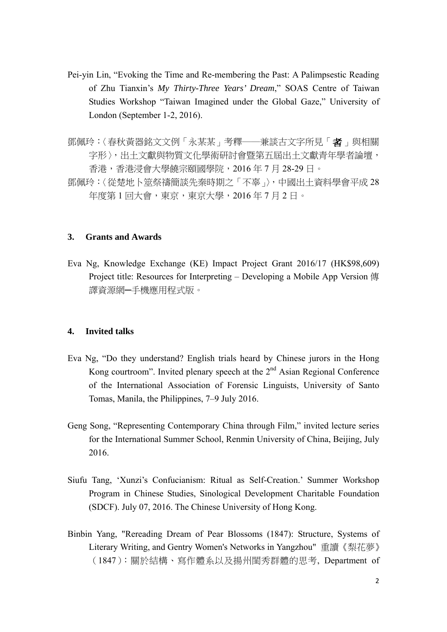- Pei-yin Lin, "Evoking the Time and Re-membering the Past: A Palimpsestic Reading of Zhu Tianxin's *My Thirty-Three Years' Dream*," SOAS Centre of Taiwan Studies Workshop "Taiwan Imagined under the Global Gaze," University of London (September 1-2, 2016).
- 鄧佩玲:〈春秋黃器銘文文例「永某某」考釋——兼談古文字所見「者」與相關 字形〉,出土文獻與物質文化學術研討會暨第五屆出土文獻青年學者論壇, 香港,香港浸會大學饒宗頤國學院,2016 年 7 月 28-29 日。
- 鄧佩玲:〈從楚地卜筮祭禱簡談先秦時期之「不辜」〉,中國出土資料學會平成 28 年度第1回大會,東京,東京大學,2016年7月2日。

## **3. Grants and Awards**

Eva Ng, Knowledge Exchange (KE) Impact Project Grant 2016/17 (HK\$98,609) Project title: Resources for Interpreting – Developing a Mobile App Version 傳 譯資源網─手機應用程式版。

## **4. Invited talks**

- Eva Ng, "Do they understand? English trials heard by Chinese jurors in the Hong Kong courtroom". Invited plenary speech at the  $2<sup>nd</sup>$  Asian Regional Conference of the International Association of Forensic Linguists, University of Santo Tomas, Manila, the Philippines, 7–9 July 2016.
- Geng Song, "Representing Contemporary China through Film," invited lecture series for the International Summer School, Renmin University of China, Beijing, July 2016.
- Siufu Tang, 'Xunzi's Confucianism: Ritual as Self-Creation.' Summer Workshop Program in Chinese Studies, Sinological Development Charitable Foundation (SDCF). July 07, 2016. The Chinese University of Hong Kong.
- Binbin Yang, "Rereading Dream of Pear Blossoms (1847): Structure, Systems of Literary Writing, and Gentry Women's Networks in Yangzhou" 重讀《梨花夢》 (1847):關於結構、寫作體系以及揚州閨秀群體的思考, Department of